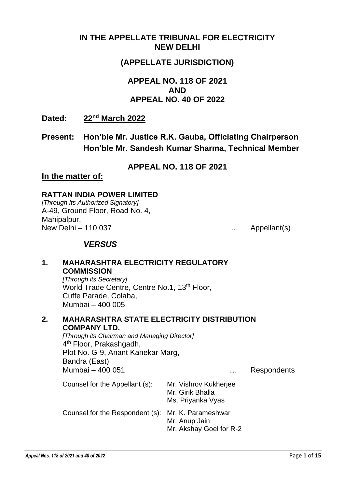## **IN THE APPELLATE TRIBUNAL FOR ELECTRICITY NEW DELHI**

## **(APPELLATE JURISDICTION)**

## **APPEAL NO. 118 OF 2021 AND APPEAL NO. 40 OF 2022**

Dated: **nd March 2022**

**Present: Hon'ble Mr. Justice R.K. Gauba, Officiating Chairperson Hon'ble Mr. Sandesh Kumar Sharma, Technical Member**

**APPEAL NO. 118 OF 2021**

#### **In the matter of:**

#### **RATTAN INDIA POWER LIMITED**

*[Through Its Authorized Signatory]* A-49, Ground Floor, Road No. 4, Mahipalpur, New Delhi – 110 037 ... Appellant(s)

## *VERSUS*

#### **1. MAHARASHTRA ELECTRICITY REGULATORY COMMISSION**

*[Through its Secretary]* World Trade Centre, Centre No.1, 13<sup>th</sup> Floor, Cuffe Parade, Colaba, Mumbai – 400 005

**2. MAHARASHTRA STATE ELECTRICITY DISTRIBUTION COMPANY LTD.**

*[Through its Chairman and Managing Director]* 4<sup>th</sup> Floor, Prakashgadh, Plot No. G-9, Anant Kanekar Marg, Bandra (East) Mumbai – 400 051 … Respondents

| Counsel for the Appellant (s):                     | Mr. Vishrov Kukherjee<br>Mr. Girik Bhalla<br>Ms. Priyanka Vyas |
|----------------------------------------------------|----------------------------------------------------------------|
| Counsel for the Respondent (s): Mr. K. Parameshwar | Mr. Anup Jain<br>Mr. Akshay Goel for R-2                       |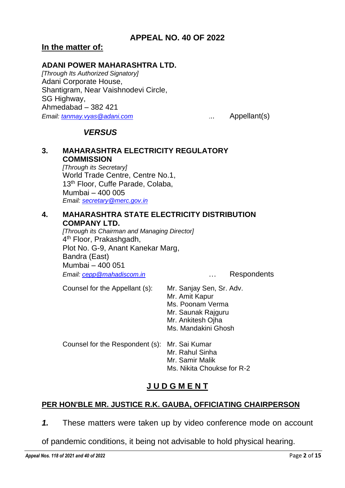## **In the matter of:**

#### **ADANI POWER MAHARASHTRA LTD.**

*[Through Its Authorized Signatory]* Adani Corporate House, Shantigram, Near Vaishnodevi Circle, SG Highway, Ahmedabad – 382 421 *Email: [tanmay.vyas@adani.com](mailto:tanmay.vyas@adani.com)* ... Appellant(s)

## *VERSUS*

#### **3. MAHARASHTRA ELECTRICITY REGULATORY COMMISSION** *[Through its Secretary]*

World Trade Centre, Centre No.1, 13<sup>th</sup> Floor, Cuffe Parade, Colaba, Mumbai – 400 005 *Email: [secretary@merc.gov.in](mailto:secretary@merc.gov.in)*

#### **4. MAHARASHTRA STATE ELECTRICITY DISTRIBUTION COMPANY LTD.**

*[Through its Chairman and Managing Director]* 4<sup>th</sup> Floor, Prakashgadh, Plot No. G-9, Anant Kanekar Marg, Bandra (East) Mumbai – 400 051 *Email: [cepp@mahadiscom.in](mailto:cepp@mahadiscom.in)* … Respondents

| Counsel for the Appellant (s):                | Mr. Sanjay Sen, Sr. Adv.<br>Mr. Amit Kapur<br>Ms. Poonam Verma<br>Mr. Saunak Rajguru<br>Mr. Ankitesh Ojha<br>Ms. Mandakini Ghosh |
|-----------------------------------------------|----------------------------------------------------------------------------------------------------------------------------------|
| Counsel for the Respondent (s): Mr. Sai Kumar | Mr. Rahul Sinha<br>Mr. Samir Malik<br>Ms. Nikita Choukse for R-2                                                                 |

## **J U D G M E N T**

## **PER HON'BLE MR. JUSTICE R.K. GAUBA, OFFICIATING CHAIRPERSON**

- *1.* These matters were taken up by video conference mode on account
- of pandemic conditions, it being not advisable to hold physical hearing.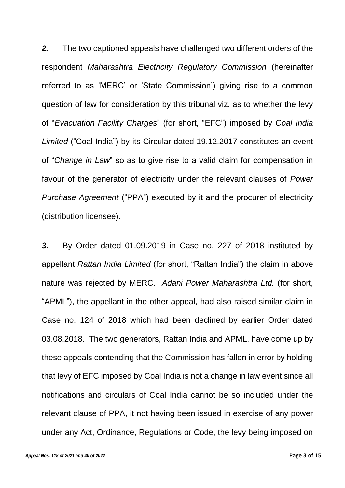*2.* The two captioned appeals have challenged two different orders of the respondent *Maharashtra Electricity Regulatory Commission* (hereinafter referred to as 'MERC' or 'State Commission') giving rise to a common question of law for consideration by this tribunal viz. as to whether the levy of "*Evacuation Facility Charges*" (for short, "EFC") imposed by *Coal India Limited* ("Coal India") by its Circular dated 19.12.2017 constitutes an event of "*Change in Law*" so as to give rise to a valid claim for compensation in favour of the generator of electricity under the relevant clauses of *Power Purchase Agreement* ("PPA") executed by it and the procurer of electricity (distribution licensee).

*3.* By Order dated 01.09.2019 in Case no. 227 of 2018 instituted by appellant *Rattan India Limited* (for short, "Rattan India") the claim in above nature was rejected by MERC. *Adani Power Maharashtra Ltd.* (for short, "APML"), the appellant in the other appeal, had also raised similar claim in Case no. 124 of 2018 which had been declined by earlier Order dated 03.08.2018. The two generators, Rattan India and APML, have come up by these appeals contending that the Commission has fallen in error by holding that levy of EFC imposed by Coal India is not a change in law event since all notifications and circulars of Coal India cannot be so included under the relevant clause of PPA, it not having been issued in exercise of any power under any Act, Ordinance, Regulations or Code, the levy being imposed on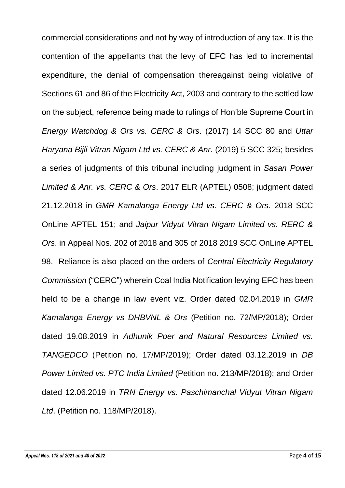commercial considerations and not by way of introduction of any tax. It is the contention of the appellants that the levy of EFC has led to incremental expenditure, the denial of compensation thereagainst being violative of Sections 61 and 86 of the Electricity Act, 2003 and contrary to the settled law on the subject, reference being made to rulings of Hon'ble Supreme Court in *Energy Watchdog & Ors vs. CERC & Ors*. (2017) 14 SCC 80 and *Uttar Haryana Bijli Vitran Nigam Ltd vs. CERC & Anr*. (2019) 5 SCC 325; besides a series of judgments of this tribunal including judgment in *Sasan Power Limited & Anr. vs. CERC & Ors*. 2017 ELR (APTEL) 0508; judgment dated 21.12.2018 in *GMR Kamalanga Energy Ltd vs. CERC & Ors.* 2018 SCC OnLine APTEL 151; and *Jaipur Vidyut Vitran Nigam Limited vs. RERC & Ors*. in Appeal Nos. 202 of 2018 and 305 of 2018 2019 SCC OnLine APTEL 98. Reliance is also placed on the orders of *Central Electricity Regulatory Commission* ("CERC") wherein Coal India Notification levying EFC has been held to be a change in law event viz. Order dated 02.04.2019 in *GMR Kamalanga Energy vs DHBVNL & Ors* (Petition no. 72/MP/2018); Order dated 19.08.2019 in *Adhunik Poer and Natural Resources Limited vs. TANGEDCO* (Petition no. 17/MP/2019); Order dated 03.12.2019 in *DB Power Limited vs. PTC India Limited* (Petition no. 213/MP/2018); and Order dated 12.06.2019 in *TRN Energy vs. Paschimanchal Vidyut Vitran Nigam Ltd*. (Petition no. 118/MP/2018).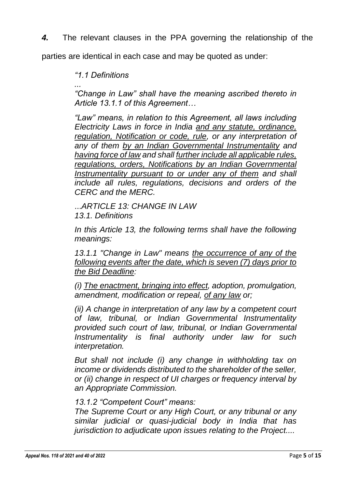*4.* The relevant clauses in the PPA governing the relationship of the

parties are identical in each case and may be quoted as under:

*"1.1 Definitions* 

*... "Change in Law" shall have the meaning ascribed thereto in Article 13.1.1 of this Agreement…* 

*"Law" means, in relation to this Agreement, all laws including Electricity Laws in force in India and any statute, ordinance, regulation, Notification or code, rule, or any interpretation of any of them by an Indian Governmental Instrumentality and having force of law and shall further include all applicable rules, regulations, orders, Notifications by an Indian Governmental Instrumentality pursuant to or under any of them and shall include all rules, regulations, decisions and orders of the CERC and the MERC.* 

...*ARTICLE 13: CHANGE IN LAW 13.1. Definitions*

In this Article 13, the following terms shall have the following *meanings:* 

*13.1.1 "Change in Law" means the occurrence of any of the following events after the date, which is seven (7) days prior to the Bid Deadline:* 

*(i) The enactment, bringing into effect, adoption, promulgation, amendment, modification or repeal, of any law or;* 

*(ii) A change in interpretation of any law by a competent court of law, tribunal, or Indian Governmental Instrumentality provided such court of law, tribunal, or Indian Governmental Instrumentality is final authority under law for such interpretation.* 

*But shall not include (i) any change in withholding tax on income or dividends distributed to the shareholder of the seller, or (ii) change in respect of UI charges or frequency interval by an Appropriate Commission.* 

## *13.1.2 "Competent Court" means:*

*The Supreme Court or any High Court, or any tribunal or any similar judicial or quasi-judicial body in India that has jurisdiction to adjudicate upon issues relating to the Project....*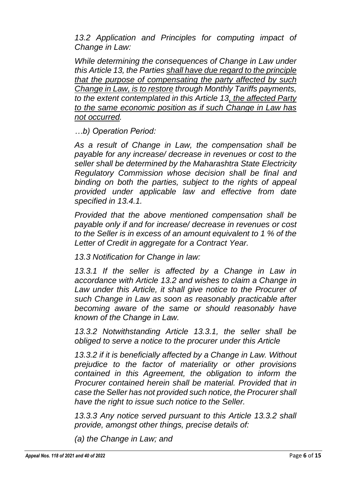*13.2 Application and Principles for computing impact of Change in Law:* 

*While determining the consequences of Change in Law under this Article 13, the Parties shall have due regard to the principle that the purpose of compensating the party affected by such Change in Law, is to restore through Monthly Tariffs payments, to the extent contemplated in this Article 13, the affected Party to the same economic position as if such Change in Law has not occurred.* 

*…b) Operation Period:* 

*As a result of Change in Law, the compensation shall be payable for any increase/ decrease in revenues or cost to the seller shall be determined by the Maharashtra State Electricity Regulatory Commission whose decision shall be final and binding on both the parties, subject to the rights of appeal provided under applicable law and effective from date specified in 13.4.1.* 

*Provided that the above mentioned compensation shall be payable only if and for increase/ decrease in revenues or cost to the Seller is in excess of an amount equivalent to 1 % of the Letter of Credit in aggregate for a Contract Year.* 

*13.3 Notification for Change in law:* 

13.3.1 If the seller is affected by a Change in Law in *accordance with Article 13.2 and wishes to claim a Change in*  Law under this Article, it shall give notice to the Procurer of *such Change in Law as soon as reasonably practicable after becoming aware of the same or should reasonably have known of the Change in Law.* 

*13.3.2 Notwithstanding Article 13.3.1, the seller shall be obliged to serve a notice to the procurer under this Article* 

*13.3.2 if it is beneficially affected by a Change in Law. Without prejudice to the factor of materiality or other provisions contained in this Agreement, the obligation to inform the Procurer contained herein shall be material. Provided that in case the Seller has not provided such notice, the Procurer shall have the right to issue such notice to the Seller.* 

*13.3.3 Any notice served pursuant to this Article 13.3.2 shall provide, amongst other things, precise details of:* 

*(a) the Change in Law; and*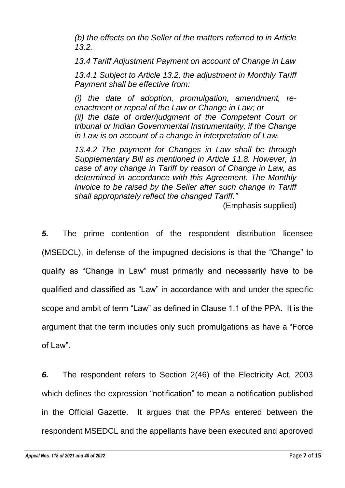*(b) the effects on the Seller of the matters referred to in Article 13.2.* 

*13.4 Tariff Adjustment Payment on account of Change in Law* 

*13.4.1 Subject to Article 13.2, the adjustment in Monthly Tariff Payment shall be effective from:* 

*(i) the date of adoption, promulgation, amendment, reenactment or repeal of the Law or Change in Law; or (ii) the date of order/judgment of the Competent Court or tribunal or Indian Governmental Instrumentality, if the Change in Law is on account of a change in interpretation of Law.* 

*13.4.2 The payment for Changes in Law shall be through Supplementary Bill as mentioned in Article 11.8. However, in case of any change in Tariff by reason of Change in Law, as determined in accordance with this Agreement. The Monthly Invoice to be raised by the Seller after such change in Tariff shall appropriately reflect the changed Tariff."*

(Emphasis supplied)

*5.* The prime contention of the respondent distribution licensee (MSEDCL), in defense of the impugned decisions is that the "Change" to qualify as "Change in Law" must primarily and necessarily have to be qualified and classified as "Law" in accordance with and under the specific scope and ambit of term "Law" as defined in Clause 1.1 of the PPA. It is the argument that the term includes only such promulgations as have a "Force of Law".

*6.* The respondent refers to Section 2(46) of the Electricity Act, 2003 which defines the expression "notification" to mean a notification published in the Official Gazette. It argues that the PPAs entered between the respondent MSEDCL and the appellants have been executed and approved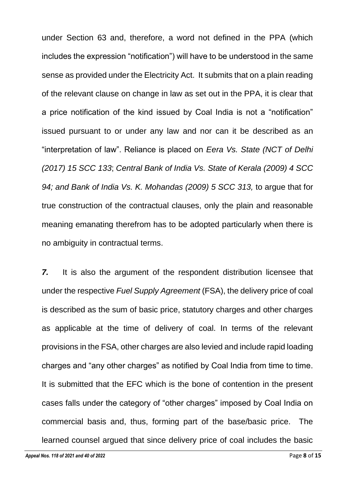under Section 63 and, therefore, a word not defined in the PPA (which includes the expression "notification") will have to be understood in the same sense as provided under the Electricity Act. It submits that on a plain reading of the relevant clause on change in law as set out in the PPA, it is clear that a price notification of the kind issued by Coal India is not a "notification" issued pursuant to or under any law and nor can it be described as an "interpretation of law". Reliance is placed on *Eera Vs. State (NCT of Delhi (2017) 15 SCC 133*; *Central Bank of India Vs. State of Kerala (2009) 4 SCC 94; and Bank of India Vs. K. Mohandas (2009) 5 SCC 313,* to argue that for true construction of the contractual clauses, only the plain and reasonable meaning emanating therefrom has to be adopted particularly when there is no ambiguity in contractual terms.

*7.* It is also the argument of the respondent distribution licensee that under the respective *Fuel Supply Agreement* (FSA), the delivery price of coal is described as the sum of basic price, statutory charges and other charges as applicable at the time of delivery of coal. In terms of the relevant provisions in the FSA, other charges are also levied and include rapid loading charges and "any other charges" as notified by Coal India from time to time. It is submitted that the EFC which is the bone of contention in the present cases falls under the category of "other charges" imposed by Coal India on commercial basis and, thus, forming part of the base/basic price. The learned counsel argued that since delivery price of coal includes the basic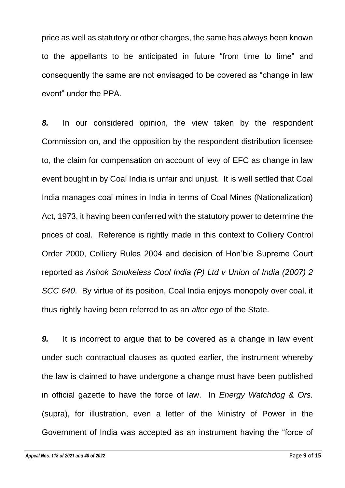price as well as statutory or other charges, the same has always been known to the appellants to be anticipated in future "from time to time" and consequently the same are not envisaged to be covered as "change in law event" under the PPA.

*8.* In our considered opinion, the view taken by the respondent Commission on, and the opposition by the respondent distribution licensee to, the claim for compensation on account of levy of EFC as change in law event bought in by Coal India is unfair and unjust. It is well settled that Coal India manages coal mines in India in terms of Coal Mines (Nationalization) Act, 1973, it having been conferred with the statutory power to determine the prices of coal. Reference is rightly made in this context to Colliery Control Order 2000, Colliery Rules 2004 and decision of Hon'ble Supreme Court reported as *Ashok Smokeless Cool India (P) Ltd v Union of India (2007) 2 SCC 640*. By virtue of its position, Coal India enjoys monopoly over coal, it thus rightly having been referred to as an *alter ego* of the State.

*9.* It is incorrect to argue that to be covered as a change in law event under such contractual clauses as quoted earlier, the instrument whereby the law is claimed to have undergone a change must have been published in official gazette to have the force of law. In *Energy Watchdog & Ors.*  (supra), for illustration, even a letter of the Ministry of Power in the Government of India was accepted as an instrument having the "force of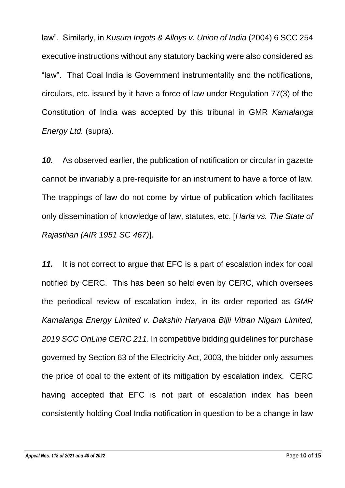law". Similarly, in *Kusum Ingots & Alloys v. Union of India* (2004) 6 SCC 254 executive instructions without any statutory backing were also considered as "law". That Coal India is Government instrumentality and the notifications, circulars, etc. issued by it have a force of law under Regulation 77(3) of the Constitution of India was accepted by this tribunal in GMR *Kamalanga Energy Ltd.* (supra).

*10.* As observed earlier, the publication of notification or circular in gazette cannot be invariably a pre-requisite for an instrument to have a force of law. The trappings of law do not come by virtue of publication which facilitates only dissemination of knowledge of law, statutes, etc. [*Harla vs. The State of Rajasthan (AIR 1951 SC 467)*].

*11.* It is not correct to argue that EFC is a part of escalation index for coal notified by CERC. This has been so held even by CERC, which oversees the periodical review of escalation index, in its order reported as *GMR Kamalanga Energy Limited v. Dakshin Haryana Bijli Vitran Nigam Limited, 2019 SCC OnLine CERC 211*. In competitive bidding guidelines for purchase governed by Section 63 of the Electricity Act, 2003, the bidder only assumes the price of coal to the extent of its mitigation by escalation index. CERC having accepted that EFC is not part of escalation index has been consistently holding Coal India notification in question to be a change in law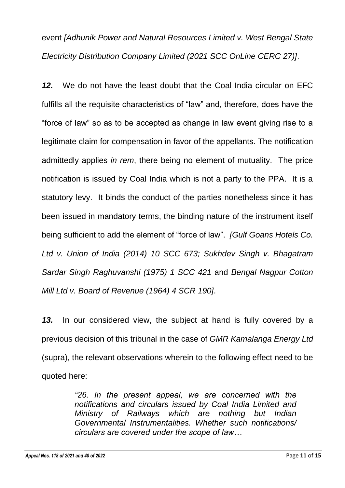# event *[Adhunik Power and Natural Resources Limited v. West Bengal State Electricity Distribution Company Limited (2021 SCC OnLine CERC 27)]*.

*12.* We do not have the least doubt that the Coal India circular on EFC fulfills all the requisite characteristics of "law" and, therefore, does have the "force of law" so as to be accepted as change in law event giving rise to a legitimate claim for compensation in favor of the appellants. The notification admittedly applies *in rem*, there being no element of mutuality. The price notification is issued by Coal India which is not a party to the PPA. It is a statutory levy. It binds the conduct of the parties nonetheless since it has been issued in mandatory terms, the binding nature of the instrument itself being sufficient to add the element of "force of law". *[Gulf Goans Hotels Co. Ltd v. Union of India (2014) 10 SCC 673; Sukhdev Singh v. Bhagatram Sardar Singh Raghuvanshi (1975) 1 SCC 421* and *Bengal Nagpur Cotton Mill Ltd v. Board of Revenue (1964) 4 SCR 190]*.

*13.* In our considered view, the subject at hand is fully covered by a previous decision of this tribunal in the case of *GMR Kamalanga Energy Ltd* (supra), the relevant observations wherein to the following effect need to be quoted here:

> *"26. In the present appeal, we are concerned with the notifications and circulars issued by Coal India Limited and Ministry of Railways which are nothing but Indian Governmental Instrumentalities. Whether such notifications/ circulars are covered under the scope of law…*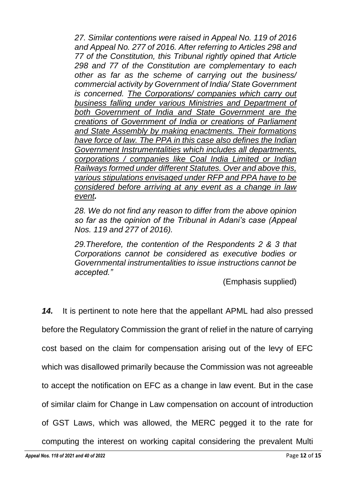27. Similar contentions were raised in Appeal No. 119 of 2016 *and Appeal No. 277 of 2016. After referring to Articles 298 and 77 of the Constitution, this Tribunal rightly opined that Article 298 and 77 of the Constitution are complementary to each other as far as the scheme of carrying out the business/ commercial activity by Government of India/ State Government is concerned. The Corporations/ companies which carry out business falling under various Ministries and Department of both Government of India and State Government are the creations of Government of India or creations of Parliament and State Assembly by making enactments. Their formations have force of law. The PPA in this case also defines the Indian Government Instrumentalities which includes all departments, corporations / companies like Coal India Limited or Indian Railways formed under different Statutes. Over and above this, various stipulations envisaged under RFP and PPA have to be considered before arriving at any event as a change in law event.*

*28. We do not find any reason to differ from the above opinion so far as the opinion of the Tribunal in Adani's case (Appeal Nos. 119 and 277 of 2016).*

*29.Therefore, the contention of the Respondents 2 & 3 that Corporations cannot be considered as executive bodies or Governmental instrumentalities to issue instructions cannot be accepted."*

(Emphasis supplied)

*14.* It is pertinent to note here that the appellant APML had also pressed before the Regulatory Commission the grant of relief in the nature of carrying cost based on the claim for compensation arising out of the levy of EFC which was disallowed primarily because the Commission was not agreeable to accept the notification on EFC as a change in law event. But in the case of similar claim for Change in Law compensation on account of introduction of GST Laws, which was allowed, the MERC pegged it to the rate for

computing the interest on working capital considering the prevalent Multi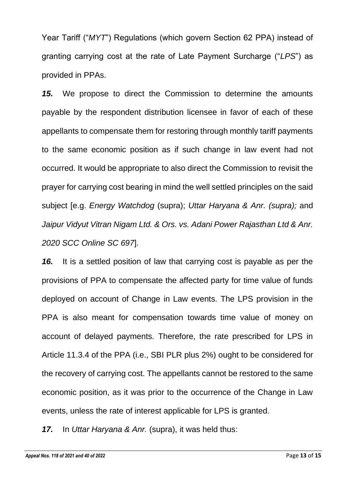Year Tariff ("*MYT*") Regulations (which govern Section 62 PPA) instead of granting carrying cost at the rate of Late Payment Surcharge ("*LPS*") as provided in PPAs.

*15.* We propose to direct the Commission to determine the amounts payable by the respondent distribution licensee in favor of each of these appellants to compensate them for restoring through monthly tariff payments to the same economic position as if such change in law event had not occurred. It would be appropriate to also direct the Commission to revisit the prayer for carrying cost bearing in mind the well settled principles on the said subject [e.g. *Energy Watchdog* (supra); *Uttar Haryana & Anr. (supra);* and *Jaipur Vidyut Vitran Nigam Ltd. & Ors. vs. Adani Power Rajasthan Ltd & Anr. 2020 SCC Online SC 697*].

*16.* It is a settled position of law that carrying cost is payable as per the provisions of PPA to compensate the affected party for time value of funds deployed on account of Change in Law events. The LPS provision in the PPA is also meant for compensation towards time value of money on account of delayed payments. Therefore, the rate prescribed for LPS in Article 11.3.4 of the PPA (i.e., SBI PLR plus 2%) ought to be considered for the recovery of carrying cost. The appellants cannot be restored to the same economic position, as it was prior to the occurrence of the Change in Law events, unless the rate of interest applicable for LPS is granted.

*17.* In *Uttar Haryana & Anr.* (supra), it was held thus: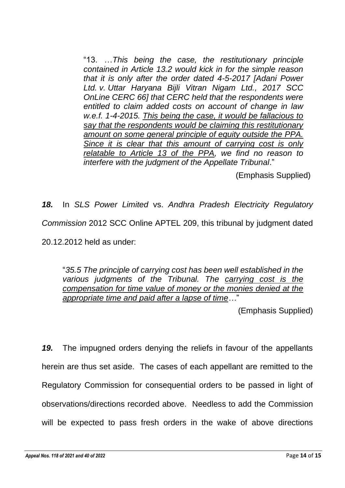"13. …*This being the case, the restitutionary principle contained in Article 13.2 would kick in for the simple reason that it is only after the order dated 4-5-2017 [Adani Power Ltd. v. Uttar Haryana Bijli Vitran Nigam Ltd., 2017 SCC OnLine CERC 66] that CERC held that the respondents were entitled to claim added costs on account of change in law w.e.f. 1-4-2015. This being the case, it would be fallacious to say that the respondents would be claiming this restitutionary amount on some general principle of equity outside the PPA. Since it is clear that this amount of carrying cost is only relatable to Article 13 of the PPA, we find no reason to interfere with the judgment of the Appellate Tribunal*."

(Emphasis Supplied)

*18.* In *SLS Power Limited* vs. *Andhra Pradesh Electricity Regulatory Commission* 2012 SCC Online APTEL 209, this tribunal by judgment dated 20.12.2012 held as under:

"*35.5 The principle of carrying cost has been well established in the various judgments of the Tribunal. The carrying cost is the compensation for time value of money or the monies denied at the appropriate time and paid after a lapse of time…*"

(Emphasis Supplied)

*19.* The impugned orders denying the reliefs in favour of the appellants herein are thus set aside. The cases of each appellant are remitted to the Regulatory Commission for consequential orders to be passed in light of observations/directions recorded above. Needless to add the Commission will be expected to pass fresh orders in the wake of above directions